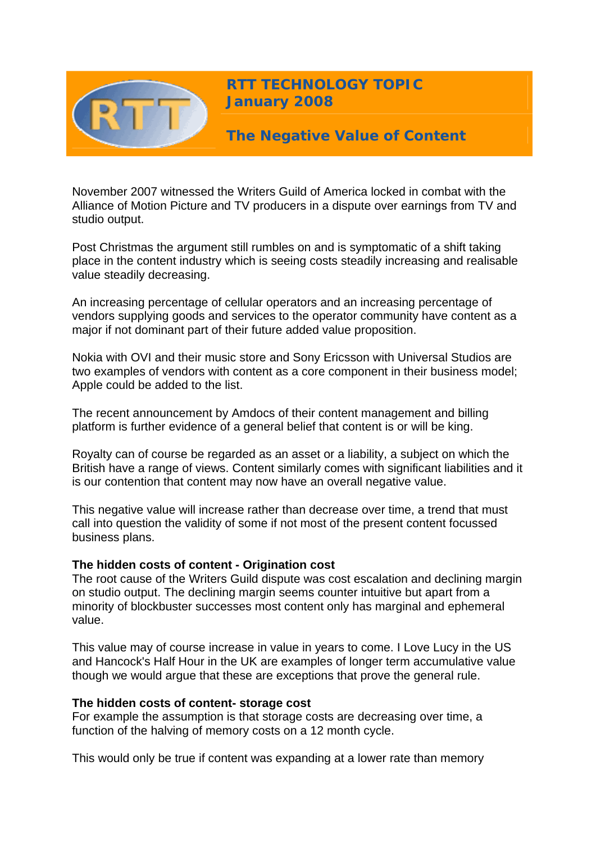

**RTT TECHNOLOGY TOPIC January 2008**

**The Negative Value of Content** 

November 2007 witnessed the Writers Guild of America locked in combat with the Alliance of Motion Picture and TV producers in a dispute over earnings from TV and studio output.

Post Christmas the argument still rumbles on and is symptomatic of a shift taking place in the content industry which is seeing costs steadily increasing and realisable value steadily decreasing.

An increasing percentage of cellular operators and an increasing percentage of vendors supplying goods and services to the operator community have content as a major if not dominant part of their future added value proposition.

Nokia with OVI and their music store and Sony Ericsson with Universal Studios are two examples of vendors with content as a core component in their business model; Apple could be added to the list.

The recent announcement by Amdocs of their content management and billing platform is further evidence of a general belief that content is or will be king.

Royalty can of course be regarded as an asset or a liability, a subject on which the British have a range of views. Content similarly comes with significant liabilities and it is our contention that content may now have an overall negative value.

This negative value will increase rather than decrease over time, a trend that must call into question the validity of some if not most of the present content focussed business plans.

# **The hidden costs of content - Origination cost**

The root cause of the Writers Guild dispute was cost escalation and declining margin on studio output. The declining margin seems counter intuitive but apart from a minority of blockbuster successes most content only has marginal and ephemeral value.

This value may of course increase in value in years to come. I Love Lucy in the US and Hancock's Half Hour in the UK are examples of longer term accumulative value though we would argue that these are exceptions that prove the general rule.

### **The hidden costs of content- storage cost**

For example the assumption is that storage costs are decreasing over time, a function of the halving of memory costs on a 12 month cycle.

This would only be true if content was expanding at a lower rate than memory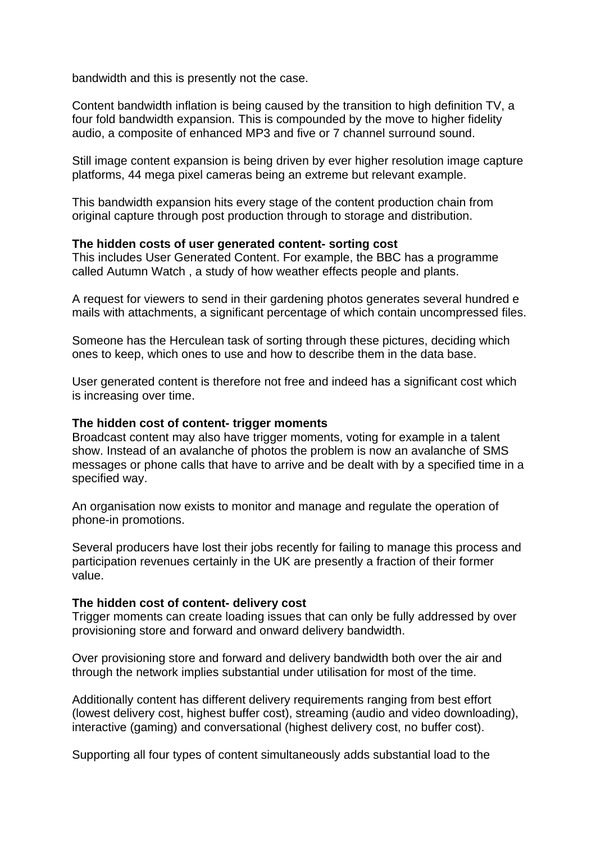bandwidth and this is presently not the case.

Content bandwidth inflation is being caused by the transition to high definition TV, a four fold bandwidth expansion. This is compounded by the move to higher fidelity audio, a composite of enhanced MP3 and five or 7 channel surround sound.

Still image content expansion is being driven by ever higher resolution image capture platforms, 44 mega pixel cameras being an extreme but relevant example.

This bandwidth expansion hits every stage of the content production chain from original capture through post production through to storage and distribution.

## **The hidden costs of user generated content- sorting cost**

This includes User Generated Content. For example, the BBC has a programme called Autumn Watch , a study of how weather effects people and plants.

A request for viewers to send in their gardening photos generates several hundred e mails with attachments, a significant percentage of which contain uncompressed files.

Someone has the Herculean task of sorting through these pictures, deciding which ones to keep, which ones to use and how to describe them in the data base.

User generated content is therefore not free and indeed has a significant cost which is increasing over time.

### **The hidden cost of content- trigger moments**

Broadcast content may also have trigger moments, voting for example in a talent show. Instead of an avalanche of photos the problem is now an avalanche of SMS messages or phone calls that have to arrive and be dealt with by a specified time in a specified way.

An organisation now exists to monitor and manage and regulate the operation of phone-in promotions.

Several producers have lost their jobs recently for failing to manage this process and participation revenues certainly in the UK are presently a fraction of their former value.

### **The hidden cost of content- delivery cost**

Trigger moments can create loading issues that can only be fully addressed by over provisioning store and forward and onward delivery bandwidth.

Over provisioning store and forward and delivery bandwidth both over the air and through the network implies substantial under utilisation for most of the time.

Additionally content has different delivery requirements ranging from best effort (lowest delivery cost, highest buffer cost), streaming (audio and video downloading), interactive (gaming) and conversational (highest delivery cost, no buffer cost).

Supporting all four types of content simultaneously adds substantial load to the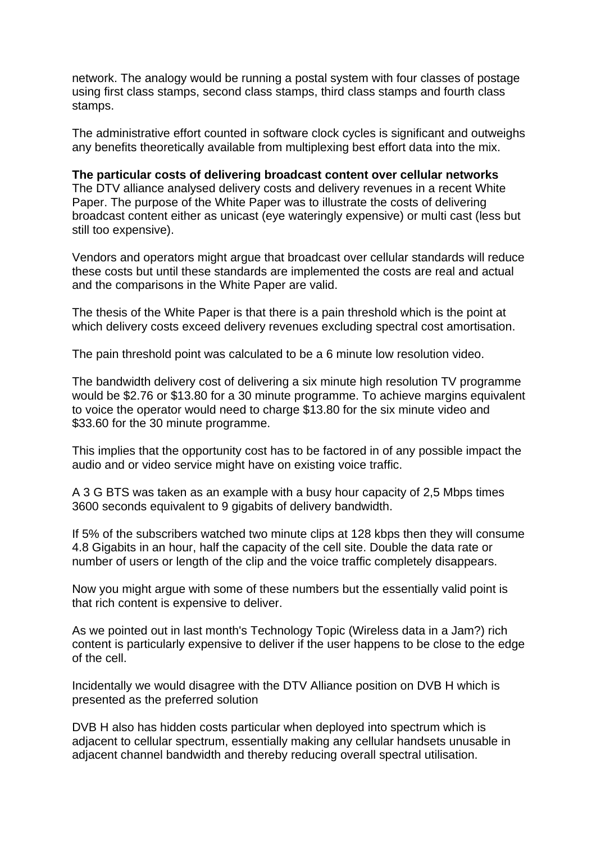network. The analogy would be running a postal system with four classes of postage using first class stamps, second class stamps, third class stamps and fourth class stamps.

The administrative effort counted in software clock cycles is significant and outweighs any benefits theoretically available from multiplexing best effort data into the mix.

**The particular costs of delivering broadcast content over cellular networks**  The DTV alliance analysed delivery costs and delivery revenues in a recent White Paper. The purpose of the White Paper was to illustrate the costs of delivering broadcast content either as unicast (eye wateringly expensive) or multi cast (less but still too expensive).

Vendors and operators might argue that broadcast over cellular standards will reduce these costs but until these standards are implemented the costs are real and actual and the comparisons in the White Paper are valid.

The thesis of the White Paper is that there is a pain threshold which is the point at which delivery costs exceed delivery revenues excluding spectral cost amortisation.

The pain threshold point was calculated to be a 6 minute low resolution video.

The bandwidth delivery cost of delivering a six minute high resolution TV programme would be \$2.76 or \$13.80 for a 30 minute programme. To achieve margins equivalent to voice the operator would need to charge \$13.80 for the six minute video and \$33.60 for the 30 minute programme.

This implies that the opportunity cost has to be factored in of any possible impact the audio and or video service might have on existing voice traffic.

A 3 G BTS was taken as an example with a busy hour capacity of 2,5 Mbps times 3600 seconds equivalent to 9 gigabits of delivery bandwidth.

If 5% of the subscribers watched two minute clips at 128 kbps then they will consume 4.8 Gigabits in an hour, half the capacity of the cell site. Double the data rate or number of users or length of the clip and the voice traffic completely disappears.

Now you might argue with some of these numbers but the essentially valid point is that rich content is expensive to deliver.

As we pointed out in last month's Technology Topic (Wireless data in a Jam?) rich content is particularly expensive to deliver if the user happens to be close to the edge of the cell.

Incidentally we would disagree with the DTV Alliance position on DVB H which is presented as the preferred solution

DVB H also has hidden costs particular when deployed into spectrum which is adjacent to cellular spectrum, essentially making any cellular handsets unusable in adjacent channel bandwidth and thereby reducing overall spectral utilisation.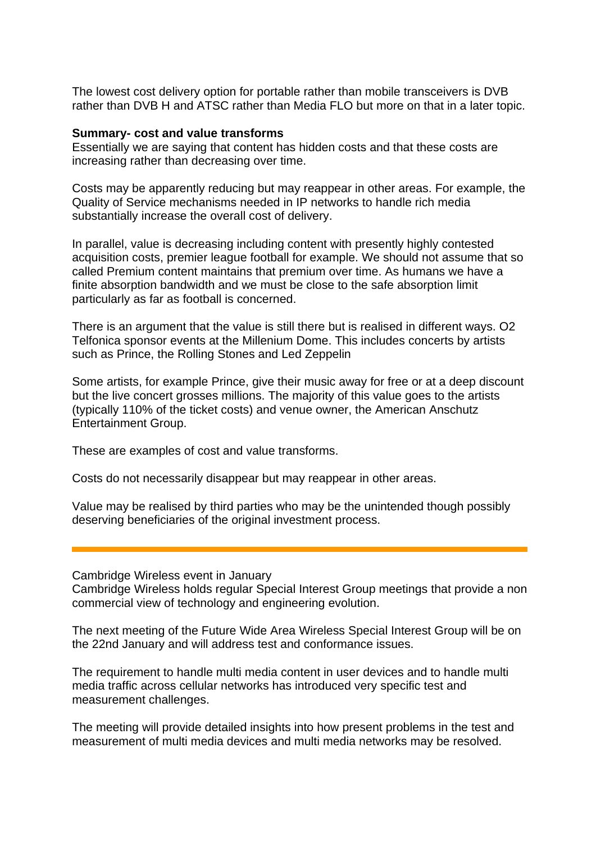The lowest cost delivery option for portable rather than mobile transceivers is DVB rather than DVB H and ATSC rather than Media FLO but more on that in a later topic.

#### **Summary- cost and value transforms**

Essentially we are saying that content has hidden costs and that these costs are increasing rather than decreasing over time.

Costs may be apparently reducing but may reappear in other areas. For example, the Quality of Service mechanisms needed in IP networks to handle rich media substantially increase the overall cost of delivery.

In parallel, value is decreasing including content with presently highly contested acquisition costs, premier league football for example. We should not assume that so called Premium content maintains that premium over time. As humans we have a finite absorption bandwidth and we must be close to the safe absorption limit particularly as far as football is concerned.

There is an argument that the value is still there but is realised in different ways. O2 Telfonica sponsor events at the Millenium Dome. This includes concerts by artists such as Prince, the Rolling Stones and Led Zeppelin

Some artists, for example Prince, give their music away for free or at a deep discount but the live concert grosses millions. The majority of this value goes to the artists (typically 110% of the ticket costs) and venue owner, the American Anschutz Entertainment Group.

These are examples of cost and value transforms.

Costs do not necessarily disappear but may reappear in other areas.

Value may be realised by third parties who may be the unintended though possibly deserving beneficiaries of the original investment process.

Cambridge Wireless event in January

Cambridge Wireless holds regular Special Interest Group meetings that provide a non commercial view of technology and engineering evolution.

The next meeting of the Future Wide Area Wireless Special Interest Group will be on the 22nd January and will address test and conformance issues.

The requirement to handle multi media content in user devices and to handle multi media traffic across cellular networks has introduced very specific test and measurement challenges.

The meeting will provide detailed insights into how present problems in the test and measurement of multi media devices and multi media networks may be resolved.